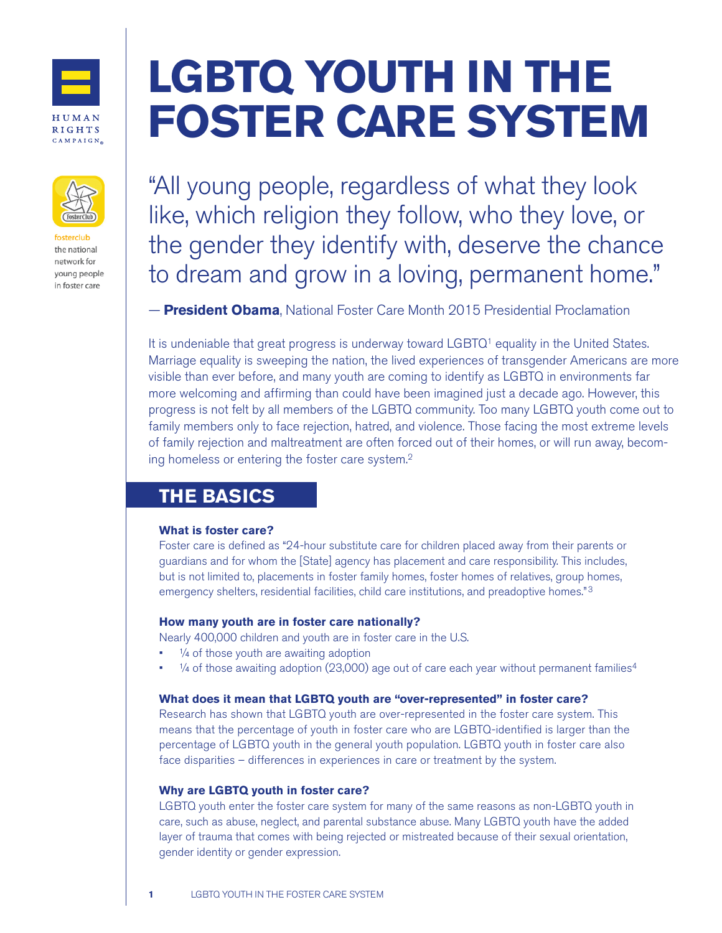

HUMAN **RIGHTS** CAMPAIGN.



the national network for young people in foster care

# **LGBTQ YOUTH IN THE FOSTER CARE SYSTEM**

"All young people, regardless of what they look like, which religion they follow, who they love, or the gender they identify with, deserve the chance to dream and grow in a loving, permanent home."

— **President Obama**, National Foster Care Month 2015 Presidential Proclamation

It is undeniable that great progress is underway toward LGBTQ<sup>1</sup> equality in the United States. Marriage equality is sweeping the nation, the lived experiences of transgender Americans are more visible than ever before, and many youth are coming to identify as LGBTQ in environments far more welcoming and affirming than could have been imagined just a decade ago. However, this progress is not felt by all members of the LGBTQ community. Too many LGBTQ youth come out to family members only to face rejection, hatred, and violence. Those facing the most extreme levels of family rejection and maltreatment are often forced out of their homes, or will run away, becoming homeless or entering the foster care system.2

# **THE BASICS**

#### **What is foster care?**

Foster care is defined as "24-hour substitute care for children placed away from their parents or guardians and for whom the [State] agency has placement and care responsibility. This includes, but is not limited to, placements in foster family homes, foster homes of relatives, group homes, emergency shelters, residential facilities, child care institutions, and preadoptive homes."<sup>3</sup>

### **How many youth are in foster care nationally?**

Nearly 400,000 children and youth are in foster care in the U.S.

- 1/4 of those youth are awaiting adoption
- 1/4 of those awaiting adoption (23,000) age out of care each year without permanent families<sup>4</sup>

#### **What does it mean that LGBTQ youth are "over-represented" in foster care?**

Research has shown that LGBTQ youth are over-represented in the foster care system. This means that the percentage of youth in foster care who are LGBTQ-identified is larger than the percentage of LGBTQ youth in the general youth population. LGBTQ youth in foster care also face disparities – differences in experiences in care or treatment by the system.

### **Why are LGBTQ youth in foster care?**

LGBTQ youth enter the foster care system for many of the same reasons as non-LGBTQ youth in care, such as abuse, neglect, and parental substance abuse. Many LGBTQ youth have the added layer of trauma that comes with being rejected or mistreated because of their sexual orientation, gender identity or gender expression.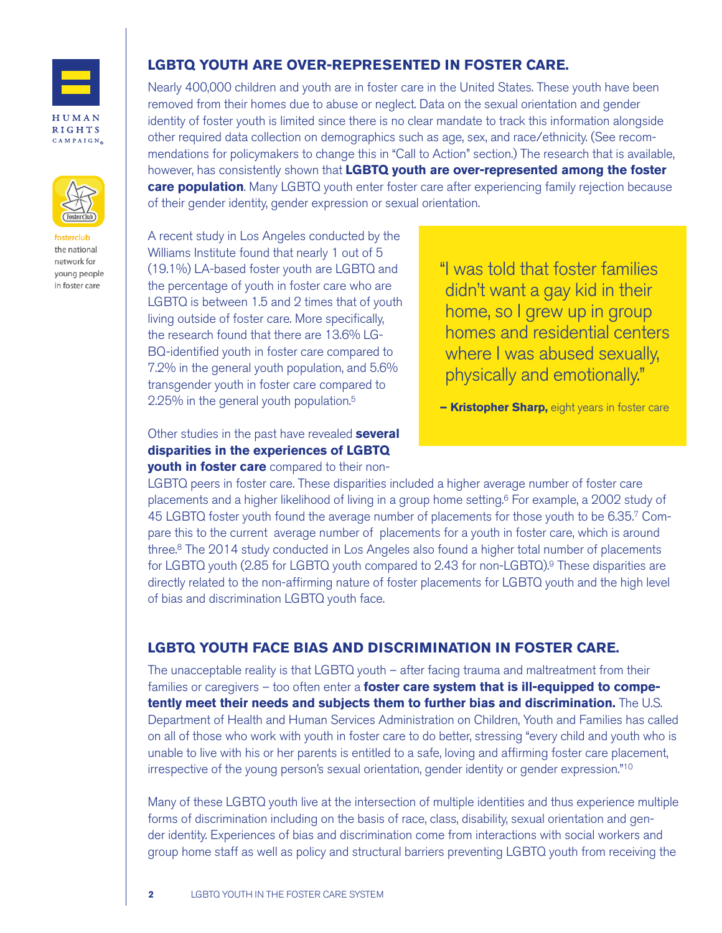

HUMAN **RIGHTS**  $CAMPAIGN_{\otimes}$ 



the national network for young people in foster care

## **LGBTQ YOUTH ARE OVER-REPRESENTED IN FOSTER CARE.**

Nearly 400,000 children and youth are in foster care in the United States. These youth have been removed from their homes due to abuse or neglect. Data on the sexual orientation and gender identity of foster youth is limited since there is no clear mandate to track this information alongside other required data collection on demographics such as age, sex, and race/ethnicity. (See recommendations for policymakers to change this in "Call to Action" section.) The research that is available, however, has consistently shown that **LGBTQ youth are over-represented among the foster care population**. Many LGBTQ youth enter foster care after experiencing family rejection because of their gender identity, gender expression or sexual orientation.

A recent study in Los Angeles conducted by the Williams Institute found that nearly 1 out of 5 (19.1%) LA-based foster youth are LGBTQ and the percentage of youth in foster care who are LGBTQ is between 1.5 and 2 times that of youth living outside of foster care. More specifically, the research found that there are 13.6% LG-BQ-identified youth in foster care compared to 7.2% in the general youth population, and 5.6% transgender youth in foster care compared to 2.25% in the general youth population.5

"I was told that foster families didn't want a gay kid in their home, so I grew up in group homes and residential centers where I was abused sexually, physically and emotionally."

**– Kristopher Sharp,** eight years in foster care

Other studies in the past have revealed **several disparities in the experiences of LGBTQ**

**youth in foster care** compared to their non-

LGBTQ peers in foster care. These disparities included a higher average number of foster care placements and a higher likelihood of living in a group home setting.<sup>6</sup> For example, a 2002 study of 45 LGBTQ foster youth found the average number of placements for those youth to be 6.35.7 Compare this to the current average number of placements for a youth in foster care, which is around three.8 The 2014 study conducted in Los Angeles also found a higher total number of placements for LGBTQ youth (2.85 for LGBTQ youth compared to 2.43 for non-LGBTQ).9 These disparities are directly related to the non-affirming nature of foster placements for LGBTQ youth and the high level of bias and discrimination LGBTQ youth face.

## **LGBTQ YOUTH FACE BIAS AND DISCRIMINATION IN FOSTER CARE.**

The unacceptable reality is that LGBTQ youth – after facing trauma and maltreatment from their families or caregivers – too often enter a **foster care system that is ill-equipped to competently meet their needs and subjects them to further bias and discrimination.** The U.S. Department of Health and Human Services Administration on Children, Youth and Families has called on all of those who work with youth in foster care to do better, stressing "every child and youth who is unable to live with his or her parents is entitled to a safe, loving and affirming foster care placement, irrespective of the young person's sexual orientation, gender identity or gender expression."10

Many of these LGBTQ youth live at the intersection of multiple identities and thus experience multiple forms of discrimination including on the basis of race, class, disability, sexual orientation and gender identity. Experiences of bias and discrimination come from interactions with social workers and group home staff as well as policy and structural barriers preventing LGBTQ youth from receiving the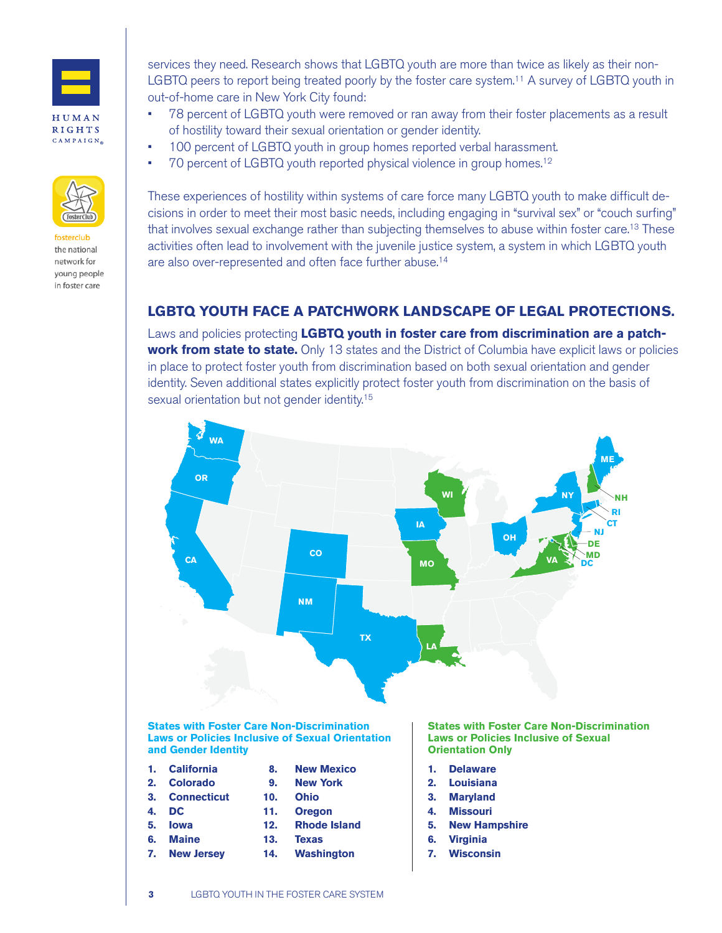

**HUMAN RIGHTS**  $CAMPAIGN_{\otimes}$ 



fosterclub the national network for young people in foster care

services they need. Research shows that LGBTQ youth are more than twice as likely as their non-LGBTQ peers to report being treated poorly by the foster care system.<sup>11</sup> A survey of LGBTQ youth in out-of-home care in New York City found:

- 78 percent of LGBTQ youth were removed or ran away from their foster placements as a result of hostility toward their sexual orientation or gender identity.
- 100 percent of LGBTQ youth in group homes reported verbal harassment.
- 70 percent of LGBTQ youth reported physical violence in group homes.<sup>12</sup>

These experiences of hostility within systems of care force many LGBTQ youth to make difficult decisions in order to meet their most basic needs, including engaging in "survival sex" or "couch surfing" that involves sexual exchange rather than subjecting themselves to abuse within foster care.13 These activities often lead to involvement with the juvenile justice system, a system in which LGBTQ youth are also over-represented and often face further abuse.14

# **LGBTQ YOUTH FACE A PATCHWORK LANDSCAPE OF LEGAL PROTECTIONS.**

Laws and policies protecting **LGBTQ youth in foster care from discrimination are a patchwork from state to state.** Only 13 states and the District of Columbia have explicit laws or policies in place to protect foster youth from discrimination based on both sexual orientation and gender identity. Seven additional states explicitly protect foster youth from discrimination on the basis of sexual orientation but not gender identity.<sup>15</sup>



#### **States with Foster Care Non-Discrimination Laws or Policies Inclusive of Sexual Orientation and Gender Identity**

- **1. California**
- **2. Colorado**
- **3. Connecticut 4. DC**
- **5. Iowa**
- **6. Maine**
- 
- **9. New York**

 **8. New Mexico**

- **10. Ohio**
- **11. Oregon**
- **12. Rhode Island**
- **13. Texas 14. Washington**
- **7. New Jersey**
- **States with Foster Care Non-Discrimination Laws or Policies Inclusive of Sexual Orientation Only**
- **1. Delaware**
- **2. Louisiana**
- **3. Maryland**
- **4. Missouri**
- **5. New Hampshire**
- **6. Virginia**
- **7. Wisconsin**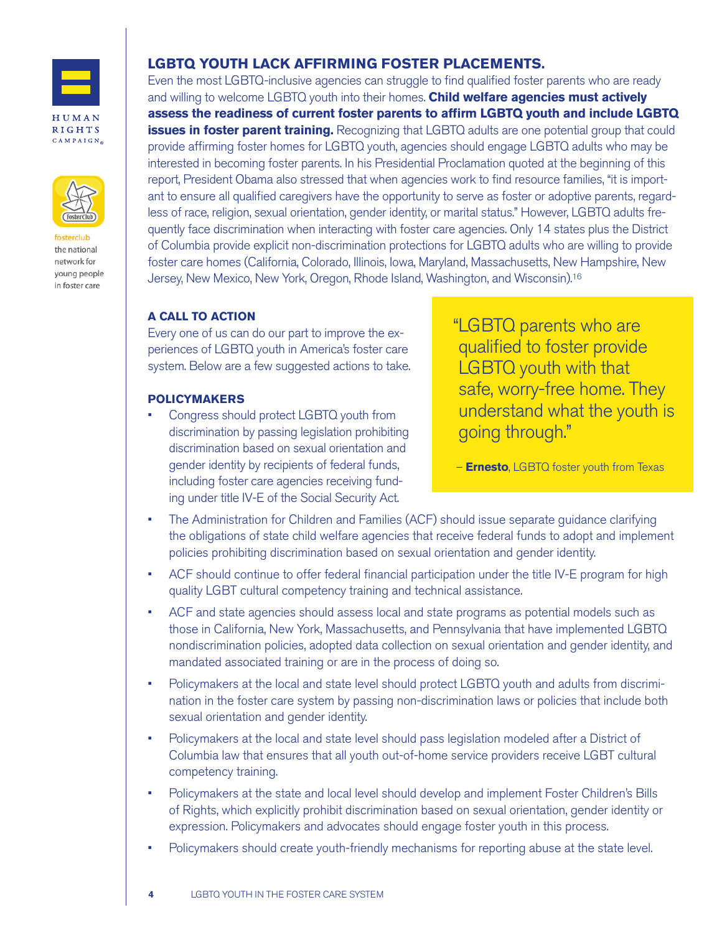

HUMAN **RIGHTS**  $CAMPAIGN_{\otimes}$ 



the national network for young people in foster care

## **LGBTQ YOUTH LACK AFFIRMING FOSTER PLACEMENTS.**

Even the most LGBTQ-inclusive agencies can struggle to find qualified foster parents who are ready and willing to welcome LGBTQ youth into their homes. **Child welfare agencies must actively assess the readiness of current foster parents to affirm LGBTQ youth and include LGBTQ issues in foster parent training.** Recognizing that LGBTQ adults are one potential group that could provide affirming foster homes for LGBTQ youth, agencies should engage LGBTQ adults who may be interested in becoming foster parents. In his Presidential Proclamation quoted at the beginning of this report, President Obama also stressed that when agencies work to find resource families, "it is important to ensure all qualified caregivers have the opportunity to serve as foster or adoptive parents, regardless of race, religion, sexual orientation, gender identity, or marital status." However, LGBTQ adults frequently face discrimination when interacting with foster care agencies. Only 14 states plus the District of Columbia provide explicit non-discrimination protections for LGBTQ adults who are willing to provide foster care homes (California, Colorado, Illinois, Iowa, Maryland, Massachusetts, New Hampshire, New Jersey, New Mexico, New York, Oregon, Rhode Island, Washington, and Wisconsin).16

### **A CALL TO ACTION**

Every one of us can do our part to improve the experiences of LGBTQ youth in America's foster care system. Below are a few suggested actions to take.

#### **POLICYMAKERS**

• Congress should protect LGBTQ youth from discrimination by passing legislation prohibiting discrimination based on sexual orientation and gender identity by recipients of federal funds, including foster care agencies receiving funding under title IV-E of the Social Security Act.

"LGBTQ parents who are qualified to foster provide LGBTQ youth with that safe, worry-free home. They understand what the youth is going through."

– **Ernesto**, LGBTQ foster youth from Texas

- The Administration for Children and Families (ACF) should issue separate guidance clarifying the obligations of state child welfare agencies that receive federal funds to adopt and implement policies prohibiting discrimination based on sexual orientation and gender identity.
- ACF should continue to offer federal financial participation under the title IV-E program for high quality LGBT cultural competency training and technical assistance.
- ACF and state agencies should assess local and state programs as potential models such as those in California, New York, Massachusetts, and Pennsylvania that have implemented LGBTQ nondiscrimination policies, adopted data collection on sexual orientation and gender identity, and mandated associated training or are in the process of doing so.
- Policymakers at the local and state level should protect LGBTQ youth and adults from discrimination in the foster care system by passing non-discrimination laws or policies that include both sexual orientation and gender identity.
- Policymakers at the local and state level should pass legislation modeled after a District of Columbia law that ensures that all youth out-of-home service providers receive LGBT cultural competency training.
- Policymakers at the state and local level should develop and implement Foster Children's Bills of Rights, which explicitly prohibit discrimination based on sexual orientation, gender identity or expression. Policymakers and advocates should engage foster youth in this process.
- Policymakers should create youth-friendly mechanisms for reporting abuse at the state level.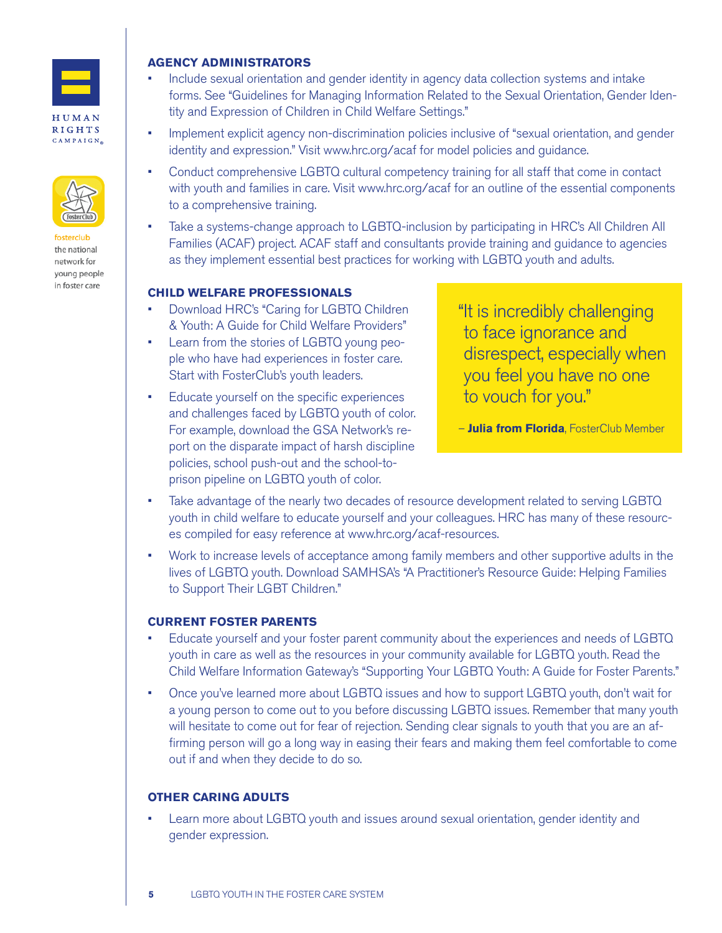

#### HUMAN **RIGHTS** CAMPAIGN $_{\tiny \odot}$



the national network for young people in foster care

#### **AGENCY ADMINISTRATORS**

- Include sexual orientation and gender identity in agency data collection systems and intake forms. See "Guidelines for Managing Information Related to the Sexual Orientation, Gender Identity and Expression of Children in Child Welfare Settings."
- Implement explicit agency non-discrimination policies inclusive of "sexual orientation, and gender identity and expression." Visit www.hrc.org/acaf for model policies and guidance.
- Conduct comprehensive LGBTQ cultural competency training for all staff that come in contact with youth and families in care. Visit www.hrc.org/acaf for an outline of the essential components to a comprehensive training.
- Take a systems-change approach to LGBTQ-inclusion by participating in HRC's All Children All Families (ACAF) project. ACAF staff and consultants provide training and guidance to agencies as they implement essential best practices for working with LGBTQ youth and adults.

#### **CHILD WELFARE PROFESSIONALS**

- Download HRC's "Caring for LGBTQ Children & Youth: A Guide for Child Welfare Providers"
- Learn from the stories of LGBTQ young people who have had experiences in foster care. Start with FosterClub's youth leaders.
- Educate yourself on the specific experiences and challenges faced by LGBTQ youth of color. For example, download the GSA Network's report on the disparate impact of harsh discipline policies, school push-out and the school-toprison pipeline on LGBTQ youth of color.

"It is incredibly challenging to face ignorance and disrespect, especially when you feel you have no one to vouch for you."

– **Julia from Florida**, FosterClub Member

- Take advantage of the nearly two decades of resource development related to serving LGBTQ youth in child welfare to educate yourself and your colleagues. HRC has many of these resources compiled for easy reference at www.hrc.org/acaf-resources.
- Work to increase levels of acceptance among family members and other supportive adults in the lives of LGBTQ youth. Download SAMHSA's "A Practitioner's Resource Guide: Helping Families to Support Their LGBT Children."

### **CURRENT FOSTER PARENTS**

- Educate yourself and your foster parent community about the experiences and needs of LGBTQ youth in care as well as the resources in your community available for LGBTQ youth. Read the Child Welfare Information Gateway's "Supporting Your LGBTQ Youth: A Guide for Foster Parents."
- Once you've learned more about LGBTQ issues and how to support LGBTQ youth, don't wait for a young person to come out to you before discussing LGBTQ issues. Remember that many youth will hesitate to come out for fear of rejection. Sending clear signals to youth that you are an affirming person will go a long way in easing their fears and making them feel comfortable to come out if and when they decide to do so.

### **OTHER CARING ADULTS**

• Learn more about LGBTQ youth and issues around sexual orientation, gender identity and gender expression.